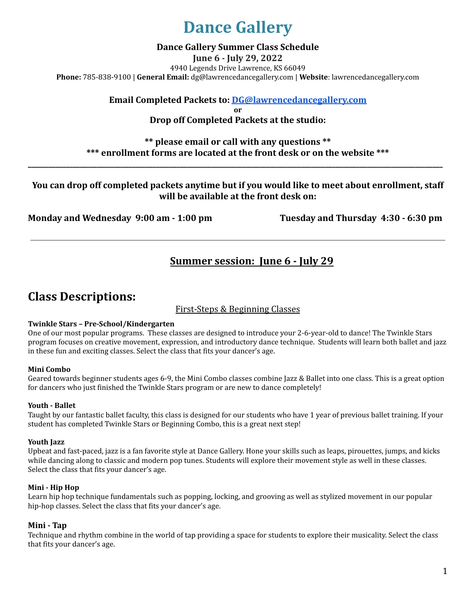## **Dance Gallery**

#### **Dance Gallery Summer Class Schedule**

**June 6 - July 29, 2022** 4940 Legends Drive Lawrence, KS 66049 **Phone:** 785-838-9100 | **General Email:** [dg@lawrencedancegallery.com](mailto:dg@lawrencedancegallery.com) | **Website**: lawrencedancegallery.com

**Email Completed Packets to: [DG@lawrencedancegallery.com](mailto:DG@LawrenceDanceGallery.com)**

**or**

**Drop off Completed Packets at the studio:**

### **\*\* please email or call with any questions \*\* \*\*\* enrollment forms are located at the front desk or on the website \*\*\***

**\_\_\_\_\_\_\_\_\_\_\_\_\_\_\_\_\_\_\_\_\_\_\_\_\_\_\_\_\_\_\_\_\_\_\_\_\_\_\_\_\_\_\_\_\_\_\_\_\_\_\_\_\_\_\_\_\_\_\_\_\_\_\_\_\_\_\_\_\_\_\_\_\_\_\_\_\_\_\_\_\_\_\_\_\_\_\_\_\_\_\_\_\_\_\_\_\_\_\_\_\_\_\_\_\_\_\_\_\_\_\_\_\_\_\_\_\_\_\_\_**

### **You can drop off completed packets anytime but if you would like to meet about enrollment, staff will be available at the front desk on:**

**Monday and Wednesday 9:00 am - 1:00 pm Tuesday and Thursday 4:30 - 6:30 pm**

## **Summer session: June 6 - July 29**

## **Class Descriptions:**

### First-Steps & Beginning Classes

#### **Twinkle Stars – Pre-School/Kindergarten**

One of our most popular programs. These classes are designed to introduce your 2-6-year-old to dance! The Twinkle Stars program focuses on creative movement, expression, and introductory dance technique. Students will learn both ballet and jazz in these fun and exciting classes. Select the class that fits your dancer's age.

#### **Mini Combo**

Geared towards beginner students ages 6-9, the Mini Combo classes combine Jazz & Ballet into one class. This is a great option for dancers who just finished the Twinkle Stars program or are new to dance completely!

#### **Youth - Ballet**

Taught by our fantastic ballet faculty, this class is designed for our students who have 1 year of previous ballet training. If your student has completed Twinkle Stars or Beginning Combo, this is a great next step!

#### **Youth Jazz**

Upbeat and fast-paced, jazz is a fan favorite style at Dance Gallery. Hone your skills such as leaps, pirouettes, jumps, and kicks while dancing along to classic and modern pop tunes. Students will explore their movement style as well in these classes. Select the class that fits your dancer's age.

#### **Mini - Hip Hop**

Learn hip hop technique fundamentals such as popping, locking, and grooving as well as stylized movement in our popular hip-hop classes. Select the class that fits your dancer's age.

#### **Mini - Tap**

Technique and rhythm combine in the world of tap providing a space for students to explore their musicality. Select the class that fits your dancer's age.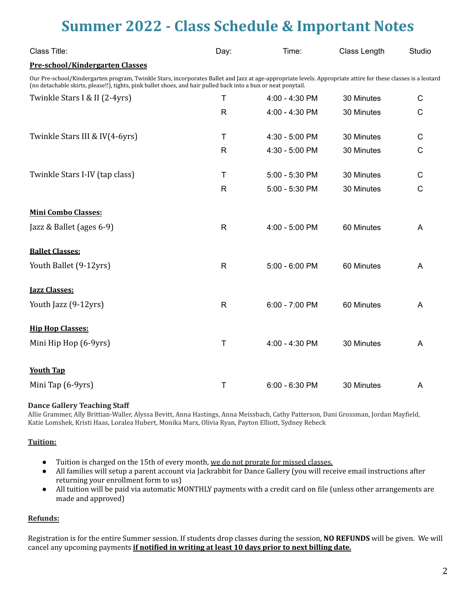## **Summer 2022 - Class Schedule & Important Notes**

| Class Title:                                                                                                                                                                                                                                                                    | Day:         | Time:            | Class Length | Studio |
|---------------------------------------------------------------------------------------------------------------------------------------------------------------------------------------------------------------------------------------------------------------------------------|--------------|------------------|--------------|--------|
| Pre-school/Kindergarten Classes                                                                                                                                                                                                                                                 |              |                  |              |        |
| Our Pre-school/Kindergarten program, Twinkle Stars, incorporates Ballet and Jazz at age-appropriate levels. Appropriate attire for these classes is a leotard<br>(no detachable skirts, please!!), tights, pink ballet shoes, and hair pulled back into a bun or neat ponytail. |              |                  |              |        |
| Twinkle Stars I & II (2-4yrs)                                                                                                                                                                                                                                                   | $\mathsf T$  | 4:00 - 4:30 PM   | 30 Minutes   | C      |
|                                                                                                                                                                                                                                                                                 | R            | 4:00 - 4:30 PM   | 30 Minutes   | C      |
| Twinkle Stars III & IV(4-6yrs)                                                                                                                                                                                                                                                  | Τ            | 4:30 - 5:00 PM   | 30 Minutes   | C      |
|                                                                                                                                                                                                                                                                                 | R.           | 4:30 - 5:00 PM   | 30 Minutes   | C      |
| Twinkle Stars I-IV (tap class)                                                                                                                                                                                                                                                  | Τ            | 5:00 - 5:30 PM   | 30 Minutes   | C      |
|                                                                                                                                                                                                                                                                                 | $\mathsf{R}$ | 5:00 - 5:30 PM   | 30 Minutes   | C      |
| <b>Mini Combo Classes:</b>                                                                                                                                                                                                                                                      |              |                  |              |        |
| Jazz & Ballet (ages 6-9)                                                                                                                                                                                                                                                        | R            | 4:00 - 5:00 PM   | 60 Minutes   | A      |
| <b>Ballet Classes:</b>                                                                                                                                                                                                                                                          |              |                  |              |        |
| Youth Ballet (9-12yrs)                                                                                                                                                                                                                                                          | $\mathsf{R}$ | 5:00 - 6:00 PM   | 60 Minutes   | A      |
| <b>Jazz Classes:</b>                                                                                                                                                                                                                                                            |              |                  |              |        |
| Youth Jazz (9-12yrs)                                                                                                                                                                                                                                                            | $\mathsf{R}$ | 6:00 - 7:00 PM   | 60 Minutes   | A      |
| <b>Hip Hop Classes:</b>                                                                                                                                                                                                                                                         |              |                  |              |        |
| Mini Hip Hop (6-9yrs)                                                                                                                                                                                                                                                           | $\mathsf T$  | 4:00 - 4:30 PM   | 30 Minutes   | A      |
| <b>Youth Tap</b>                                                                                                                                                                                                                                                                |              |                  |              |        |
| Mini Tap (6-9yrs)                                                                                                                                                                                                                                                               | $\mathsf T$  | $6:00 - 6:30$ PM | 30 Minutes   | A      |

#### **Dance Gallery Teaching Staff**

Allie Grammer, Ally Brittian-Waller, Alyssa Bevitt, Anna Hastings, Anna Meissbach, Cathy Patterson, Dani Grossman, Jordan Mayfield, Katie Lomshek, Kristi Haas, Loralea Hubert, Monika Marx, Olivia Ryan, Payton Elliott, Sydney Rebeck

#### **Tuition:**

- Tuition is charged on the 15th of every month, we do not prorate for missed classes.
- All families will setup a parent account via Jackrabbit for Dance Gallery (you will receive email instructions after returning your enrollment form to us)
- All tuition will be paid via automatic MONTHLY payments with a credit card on file (unless other arrangements are made and approved)

#### **Refunds:**

Registration is for the entire Summer session. If students drop classes during the session, **NO REFUNDS** will be given. We will cancel any upcoming payments **if notified in writing at least 10 days prior to next billing date.**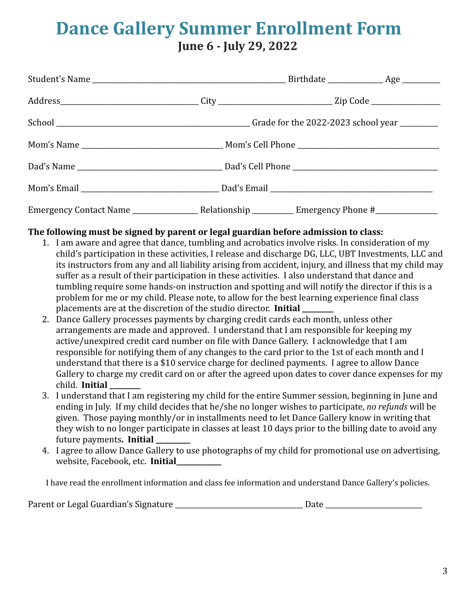## **Dance Gallery Summer Enrollment Form June 6 - July 29, 2022**

### **The following must be signed by parent or legal guardian before admission to class:**

- 1. I am aware and agree that dance, tumbling and acrobatics involve risks. In consideration of my child's participation in these activities, I release and discharge DG, LLC, UBT Investments, LLC and its instructors from any and all liability arising from accident, injury, and illness that my child may suffer as a result of their participation in these activities. I also understand that dance and tumbling require some hands-on instruction and spotting and will notify the director if this is a problem for me or my child. Please note, to allow for the best learning experience final class placements are at the discretion of the studio director. **Initial \_\_\_\_\_\_\_\_\_**
- 2. Dance Gallery processes payments by charging credit cards each month, unless other arrangements are made and approved. I understand that I am responsible for keeping my active/unexpired credit card number on file with Dance Gallery. I acknowledge that I am responsible for notifying them of any changes to the card prior to the 1st of each month and I understand that there is a \$10 service charge for declined payments. I agree to allow Dance Gallery to charge my credit card on or after the agreed upon dates to cover dance expenses for my child. **Initial \_\_\_\_\_\_\_\_\_**
- 3. I understand that I am registering my child for the entire Summer session, beginning in June and ending in July. If my child decides that he/she no longer wishes to participate, *no refunds* will be given. Those paying monthly/or in installments need to let Dance Gallery know in writing that they wish to no longer participate in classes at least 10 days prior to the billing date to avoid any future payments**. Initial \_\_\_\_\_\_\_\_\_\_**
- 4. I agree to allow Dance Gallery to use photographs of my child for promotional use on advertising, website, Facebook, etc. **Initial\_\_\_\_\_\_\_\_\_\_\_\_\_**

I have read the enrollment information and class fee information and understand Dance Gallery's policies.

| Parent or Legal Guardian's Signature | Date |
|--------------------------------------|------|
|--------------------------------------|------|